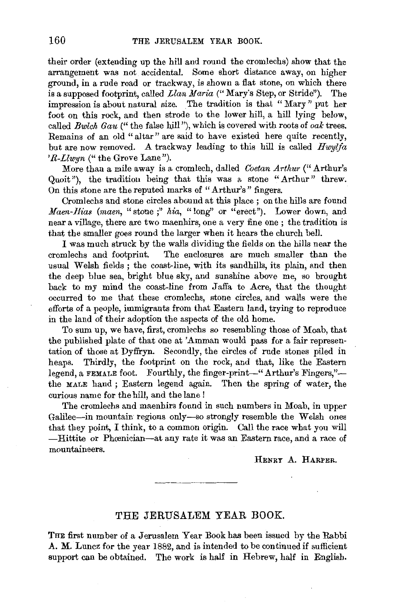their order (extending up the hill and round the cromlechs) show that the arrangement was not accidental. Some short distance away, on higher ground, in a rude road or trackway, is shown a flat stone, on which there is a supposed footprint, called *Llan Maria* ("Mary's Step, or Stride"). The impression is about natural size. The tradition is that " Mary" put her foot on this rock, and then strode to the lower hill, a hill lying below, called *Bwlch Gau* ("the false hill"), which is covered with roots of *oak* trees. Remains of an old "altar" are said to have existed here quite recently, but are now removed. A trackway leading to this hill is called *Hwylfa 'R-Llwyn* (" the Grove Lane").

More than a mile away is a cromlech, dalled *Coetan Arthur* ("Arthur's Quoit"), the tradition being that this was a stone "Arthur" threw. On this stone are the reputed marks of "Arthur's" fingers.

Cromlechs and stone circles abound at this place ; on the hills are found *Maen-Hias (maen,* "stone ;" *hia,* "long'' or "erect"). Lower down, and near a village, there are two maenhirs, one a very fine one ; the tradition is that the smaller goes round the larger when it hears the church bell.

I was much struck by the walls dividing the fields on the hills near the The enclosures are much smaller than the usual Welsh fields; the coast-line, with its sandhills, its plain, and then the deep blue sea, bright blue sky, and sunshine above me, so brought back to my mind the coast-line from Jaffa to Acre, that the thought occurred to me that these cromlechs, stone circles, and walls were the efforts of a people, immigrants from that Eastern land, trying to reproduce in the land of their adoption the aspects of the old home.

To sum up, we have, first, cromlechs so resembling those of Moab, that the published plate of that one at 'Amman would pass for a fair representation of those at Dyffryn. Secondly, the circles of rude stones piled in heaps. Thirdly, the footprint on the rock, and that, like the Eastern legend, a FEMALE foot. Fourthly, the finger-print-" Arthur's Fingers,"the MALE hand ; Eastern legend again. Then the spring of water, the curious name for the hill, and the lane !

The cromlechs and maenhirs found in such numbers in Moab, in upper Galilee-in mountain regions only-so strongly resemble the Welsh ones that they point, I think, to a common origin. Call the race what you will -Hittite or Phrenician-at any rate it was an Eastern race, and a race of mountaineers.

HENRY A. HARPER.

## THE JERUSALEM YEAR BOOK.

THE first number of a Jerusalem Year Book has been issued by the Rabbi A. M. Luncz for the year 1882, and is intended to be continued if sufficient support can be obtained. The work is half in Hebrew, half in English.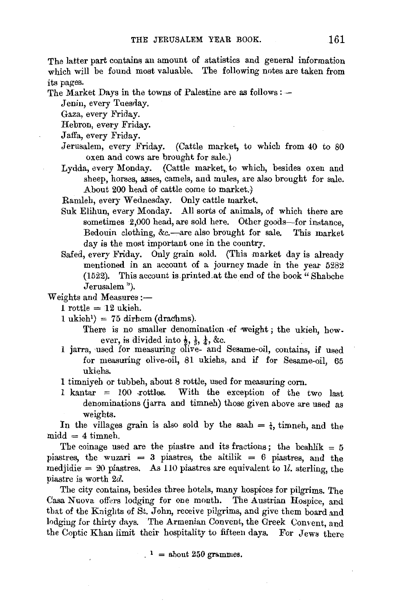The latter part contains an amount of statistics and general information which will be found most valuable. The following notes are taken from its pages.

The Market Days in the towns of Palestine are as follows :  $-$ 

Jenin, every Tuesday.

Gaza, every Friday.

Hebron, every Friday.

Jaffa, every Friday.

- Jerusalem, every Friday. (Cattle market, to which from 40 to 80 oxen and cows are brought for sale.)
- Lydda, every Monday. (Cattle market,, to which, besides oxen and sheep, horses, asses, camels, and mules, are also brought for sale. About 200 head of cattle come to market.)

Ramleh, every Wednesday. Only cattle market.

- Suk Elihun, every Monday. All sorts of animals, of which there are sometimes 2,000 head, are sold here. Other goods-for instance, Bedouin clothing, &c.-are also brought for sale. This market day is the most important one in the country.
- Safed, every Friday. Only grain sold. (This market day is already mentioned in an account of a journey made in the year 5282 (1522). This account is.printed.at the end of the book" Shabche Jerusalem ").

## Weights and Measures :-

 $1$  rottle  $= 12$  ukieh.

 $1 \text{ ukieh}$ <sup>1</sup>) = 75 dirhem (drachms).

There is no smaller denomination of weight; the ukieh, however, is divided into  $\frac{1}{2}$ ,  $\frac{1}{3}$ ,  $\frac{1}{4}$ , &c.

- 1 jarra, used for measuring olive- and Sesame-oil, contains, if used for measuring olive-oil, 81 ukiehs, and if for Sesame-oil, 65 ukiehs.
- **1** timniyeh or tubbeh, about 8 rottle, used for measuring corn.
- **<sup>1</sup>**kantar = 100 .rottles. With the exception of the two last denominations (jarra and timneh) those given above are used as weights.

In the villages grain is also sold by the saah  $=$   $\frac{1}{4}$ , timneh, and the  $mid = 4$  timneh.

The coinage used are the piastre and its fractions; the beshlik  $= 5$ piastres, the wuzari = 3 piastres, the altilik = 6 piastres, and the medjidie =  $20$  piastres. As 110 piastres are equivalent to 1l. sterling, the piastre is worth 2d.

The city contains, besides three hotels, many hospices for pilgrims. The Casa Nuova offers lodging for one month. The Austrian Hospice, and that of the Knights of St. John, receive pilgrims, and give them board and lodging for thirty days. The Armenian Convent, the Greek Convent, and the Coptic Khan limit their hospitality to fifteen days. For Jews there

 $\mu =$  about 250 grammes.